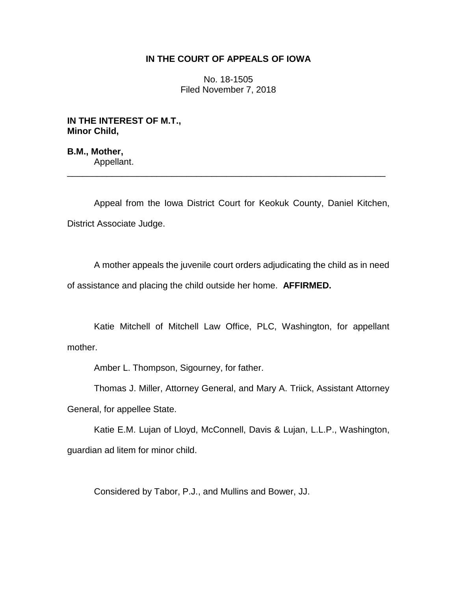# **IN THE COURT OF APPEALS OF IOWA**

No. 18-1505 Filed November 7, 2018

**IN THE INTEREST OF M.T., Minor Child,**

**B.M., Mother,** Appellant.

Appeal from the Iowa District Court for Keokuk County, Daniel Kitchen, District Associate Judge.

\_\_\_\_\_\_\_\_\_\_\_\_\_\_\_\_\_\_\_\_\_\_\_\_\_\_\_\_\_\_\_\_\_\_\_\_\_\_\_\_\_\_\_\_\_\_\_\_\_\_\_\_\_\_\_\_\_\_\_\_\_\_\_\_

A mother appeals the juvenile court orders adjudicating the child as in need of assistance and placing the child outside her home. **AFFIRMED.**

Katie Mitchell of Mitchell Law Office, PLC, Washington, for appellant mother.

Amber L. Thompson, Sigourney, for father.

Thomas J. Miller, Attorney General, and Mary A. Triick, Assistant Attorney General, for appellee State.

Katie E.M. Lujan of Lloyd, McConnell, Davis & Lujan, L.L.P., Washington, guardian ad litem for minor child.

Considered by Tabor, P.J., and Mullins and Bower, JJ.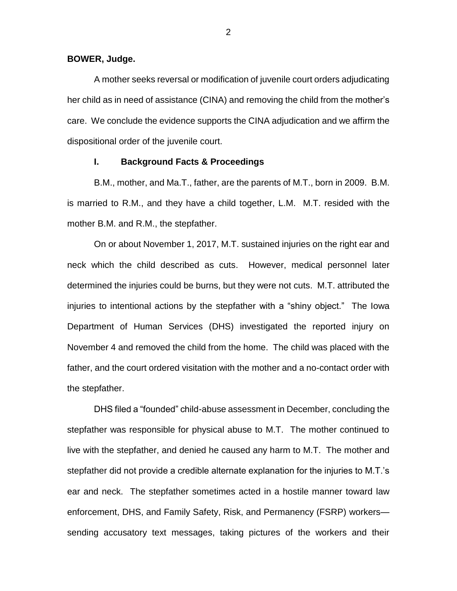#### **BOWER, Judge.**

A mother seeks reversal or modification of juvenile court orders adjudicating her child as in need of assistance (CINA) and removing the child from the mother's care. We conclude the evidence supports the CINA adjudication and we affirm the dispositional order of the juvenile court.

## **I. Background Facts & Proceedings**

B.M., mother, and Ma.T., father, are the parents of M.T., born in 2009. B.M. is married to R.M., and they have a child together, L.M. M.T. resided with the mother B.M. and R.M., the stepfather.

On or about November 1, 2017, M.T. sustained injuries on the right ear and neck which the child described as cuts. However, medical personnel later determined the injuries could be burns, but they were not cuts. M.T. attributed the injuries to intentional actions by the stepfather with a "shiny object." The Iowa Department of Human Services (DHS) investigated the reported injury on November 4 and removed the child from the home. The child was placed with the father, and the court ordered visitation with the mother and a no-contact order with the stepfather.

DHS filed a "founded" child-abuse assessment in December, concluding the stepfather was responsible for physical abuse to M.T. The mother continued to live with the stepfather, and denied he caused any harm to M.T. The mother and stepfather did not provide a credible alternate explanation for the injuries to M.T.'s ear and neck. The stepfather sometimes acted in a hostile manner toward law enforcement, DHS, and Family Safety, Risk, and Permanency (FSRP) workers sending accusatory text messages, taking pictures of the workers and their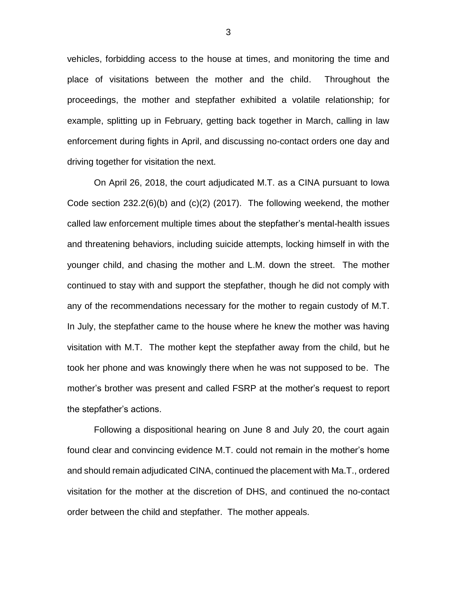vehicles, forbidding access to the house at times, and monitoring the time and place of visitations between the mother and the child. Throughout the proceedings, the mother and stepfather exhibited a volatile relationship; for example, splitting up in February, getting back together in March, calling in law enforcement during fights in April, and discussing no-contact orders one day and driving together for visitation the next.

On April 26, 2018, the court adjudicated M.T. as a CINA pursuant to Iowa Code section 232.2(6)(b) and (c)(2) (2017). The following weekend, the mother called law enforcement multiple times about the stepfather's mental-health issues and threatening behaviors, including suicide attempts, locking himself in with the younger child, and chasing the mother and L.M. down the street. The mother continued to stay with and support the stepfather, though he did not comply with any of the recommendations necessary for the mother to regain custody of M.T. In July, the stepfather came to the house where he knew the mother was having visitation with M.T. The mother kept the stepfather away from the child, but he took her phone and was knowingly there when he was not supposed to be. The mother's brother was present and called FSRP at the mother's request to report the stepfather's actions.

Following a dispositional hearing on June 8 and July 20, the court again found clear and convincing evidence M.T. could not remain in the mother's home and should remain adjudicated CINA, continued the placement with Ma.T., ordered visitation for the mother at the discretion of DHS, and continued the no-contact order between the child and stepfather. The mother appeals.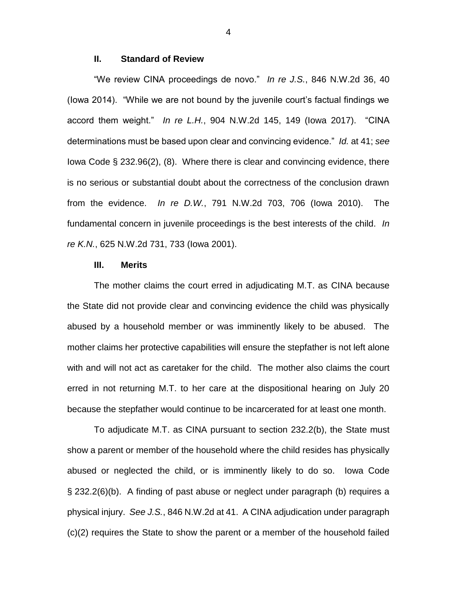## **II. Standard of Review**

"We review CINA proceedings de novo." *In re J.S.*, 846 N.W.2d 36, 40 (Iowa 2014). "While we are not bound by the juvenile court's factual findings we accord them weight." *In re L.H.*, 904 N.W.2d 145, 149 (Iowa 2017). "CINA determinations must be based upon clear and convincing evidence." *Id.* at 41; *see*  Iowa Code § 232.96(2), (8). Where there is clear and convincing evidence, there is no serious or substantial doubt about the correctness of the conclusion drawn from the evidence. *In re D.W.*, 791 N.W.2d 703, 706 (Iowa 2010). The fundamental concern in juvenile proceedings is the best interests of the child. *In re K.N.*, 625 N.W.2d 731, 733 (Iowa 2001).

### **III. Merits**

The mother claims the court erred in adjudicating M.T. as CINA because the State did not provide clear and convincing evidence the child was physically abused by a household member or was imminently likely to be abused. The mother claims her protective capabilities will ensure the stepfather is not left alone with and will not act as caretaker for the child. The mother also claims the court erred in not returning M.T. to her care at the dispositional hearing on July 20 because the stepfather would continue to be incarcerated for at least one month.

To adjudicate M.T. as CINA pursuant to section 232.2(b), the State must show a parent or member of the household where the child resides has physically abused or neglected the child, or is imminently likely to do so. Iowa Code § 232.2(6)(b). A finding of past abuse or neglect under paragraph (b) requires a physical injury. *See J.S.*, 846 N.W.2d at 41. A CINA adjudication under paragraph (c)(2) requires the State to show the parent or a member of the household failed

4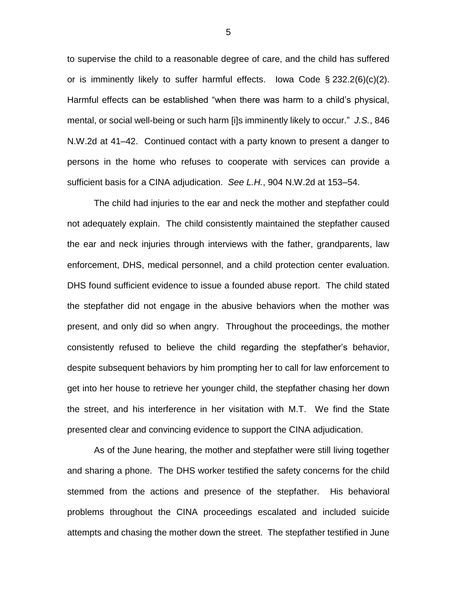to supervise the child to a reasonable degree of care, and the child has suffered or is imminently likely to suffer harmful effects. Iowa Code  $\S 232.2(6)(c)(2)$ . Harmful effects can be established "when there was harm to a child's physical, mental, or social well-being or such harm [i]s imminently likely to occur." *J.S.*, 846 N.W.2d at 41–42. Continued contact with a party known to present a danger to persons in the home who refuses to cooperate with services can provide a sufficient basis for a CINA adjudication. *See L.H.*, 904 N.W.2d at 153–54.

The child had injuries to the ear and neck the mother and stepfather could not adequately explain. The child consistently maintained the stepfather caused the ear and neck injuries through interviews with the father, grandparents, law enforcement, DHS, medical personnel, and a child protection center evaluation. DHS found sufficient evidence to issue a founded abuse report. The child stated the stepfather did not engage in the abusive behaviors when the mother was present, and only did so when angry. Throughout the proceedings, the mother consistently refused to believe the child regarding the stepfather's behavior, despite subsequent behaviors by him prompting her to call for law enforcement to get into her house to retrieve her younger child, the stepfather chasing her down the street, and his interference in her visitation with M.T. We find the State presented clear and convincing evidence to support the CINA adjudication.

As of the June hearing, the mother and stepfather were still living together and sharing a phone. The DHS worker testified the safety concerns for the child stemmed from the actions and presence of the stepfather. His behavioral problems throughout the CINA proceedings escalated and included suicide attempts and chasing the mother down the street. The stepfather testified in June

5